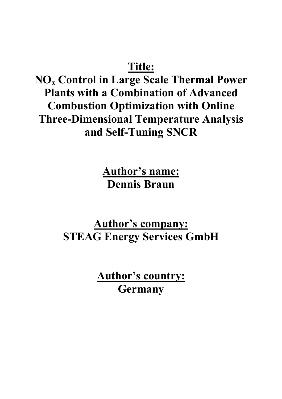# **Title:**

**NOx Control in Large Scale Thermal Power Plants with a Combination of Advanced Combustion Optimization with Online Three-Dimensional Temperature Analysis and Self-Tuning SNCR**

> **Author's name: Dennis Braun**

**Author's company: STEAG Energy Services GmbH**

> **Author's country: Germany**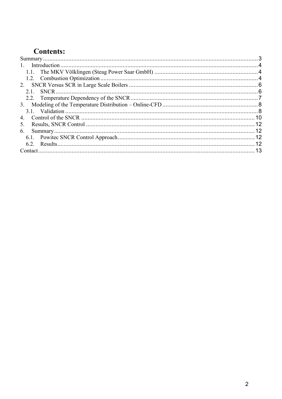# **Contents:**

| 2.1            |  |
|----------------|--|
|                |  |
|                |  |
|                |  |
| 4.             |  |
| 5 <sub>1</sub> |  |
| 6.             |  |
|                |  |
|                |  |
|                |  |
|                |  |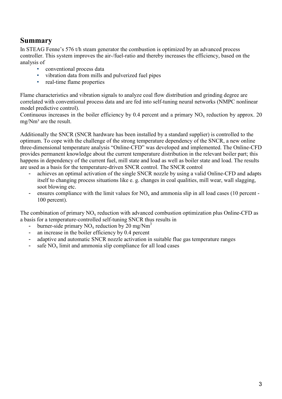### **Summary**

In STEAG Fenne's 576 t/h steam generator the combustion is optimized by an advanced process controller. This system improves the air-/fuel-ratio and thereby increases the efficiency, based on the analysis of

- conventional process data<br>• vibration data from mills a
- vibration data from mills and pulverized fuel pipes
- real-time flame properties

Flame characteristics and vibration signals to analyze coal flow distribution and grinding degree are correlated with conventional process data and are fed into self-tuning neural networks (NMPC nonlinear model predictive control).

Continuous increases in the boiler efficiency by 0.4 percent and a primary  $NO<sub>x</sub>$  reduction by approx. 20  $mg/Nm<sup>3</sup>$  are the result.

Additionally the SNCR (SNCR hardware has been installed by a standard supplier) is controlled to the optimum. To cope with the challenge of the strong temperature dependency of the SNCR, a new online three-dimensional temperature analysis "Online-CFD" was developed and implemented. The Online-CFD provides permanent knowledge about the current temperature distribution in the relevant boiler part; this happens in dependency of the current fuel, mill state and load as well as boiler state and load. The results are used as a basis for the temperature-driven SNCR control. The SNCR control

- achieves an optimal activation of the single SNCR nozzle by using a valid Online-CFD and adapts itself to changing process situations like e. g. changes in coal qualities, mill wear, wall slagging, soot blowing etc.
- ensures compliance with the limit values for  $NO<sub>x</sub>$  and ammonia slip in all load cases (10 percent -100 percent).

The combination of primary  $NO<sub>x</sub>$  reduction with advanced combustion optimization plus Online-CFD as a basis for a temperature-controlled self-tuning SNCR thus results in

- burner-side primary  $NO_x$  reduction by 20 mg/Nm<sup>3</sup>
- an increase in the boiler efficiency by 0.4 percent
- adaptive and automatic SNCR nozzle activation in suitable flue gas temperature ranges
- $-$  safe NO<sub>x</sub> limit and ammonia slip compliance for all load cases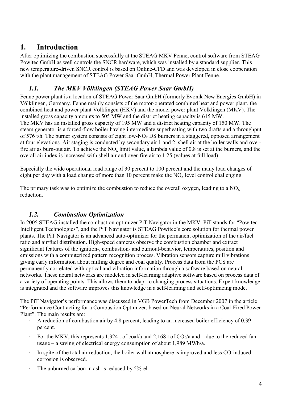### **1. Introduction**

After optimizing the combustion successfully at the STEAG MKV Fenne, control software from STEAG Powitec GmbH as well controls the SNCR hardware, which was installed by a standard supplier. This new temperature-driven SNCR control is based on Online-CFD and was developed in close cooperation with the plant management of STEAG Power Saar GmbH, Thermal Power Plant Fenne.

#### *1.1. The MKV Völklingen (STEAG Power Saar GmbH)*

Fenne power plant is a location of STEAG Power Saar GmbH (formerly Evonik New Energies GmbH) in Völklingen, Germany. Fenne mainly consists of the motor-operated combined heat and power plant, the combined heat and power plant Völklingen (HKV) and the model power plant Völklingen (MKV). The installed gross capacity amounts to 505 MW and the district heating capacity is 615 MW. The MKV has an installed gross capacity of 195 MW and a district heating capacity of 150 MW. The steam generator is a forced-flow boiler having intermediate superheating with two drafts and a throughput of 576 t/h. The burner system consists of eight low-NO<sub>x</sub> DS burners in a staggered, opposed arrangement at four elevations. Air staging is conducted by secondary air 1 and 2, shell air at the boiler walls and overfire air as burn-out air. To achieve the NO<sub>x</sub> limit value, a lambda value of 0.8 is set at the burners, and the overall air index is increased with shell air and over-fire air to 1.25 (values at full load).

Especially the wide operational load range of 30 percent to 100 percent and the many load changes of eight per day with a load change of more than 10 percent make the  $NO<sub>x</sub>$  level control challenging.

The primary task was to optimize the combustion to reduce the overall oxygen, leading to a  $NO<sub>x</sub>$ reduction.

#### *1.2. Combustion Optimization*

In 2005 STEAG installed the combustion optimizer PiT Navigator in the MKV. PiT stands for "Powitec Intelligent Technologies", and the PiT Navigator is STEAG Powitec's core solution for thermal power plants. The PiT Navigator is an advanced auto-optimizer for the permanent optimization of the air/fuel ratio and air/fuel distribution. High-speed cameras observe the combustion chamber and extract significant features of the ignition-, combustion- and burnout-behavior, temperatures, position and emissions with a computerized pattern recognition process. Vibration sensors capture mill vibrations giving early information about milling degree and coal quality. Process data from the PCS are permanently correlated with optical and vibration information through a software based on neural networks. These neural networks are modeled in self-learning adaptive software based on process data of a variety of operating points. This allows them to adapt to changing process situations. Expert knowledge is integrated and the software improves this knowledge in a self-learning and self-optimizing mode.

The PiT Navigator's performance was discussed in VGB PowerTech from December 2007 in the article "Performance Contracting for a Combustion Optimizer, based on Neural Networks in a Coal-Fired Power Plant". The main results are:

- A reduction of combustion air by 4.8 percent, leading to an increased boiler efficiency of 0.39 percent.
- For the MKV, this represents 1,324 t of coal/a and 2,168 t of  $CO<sub>2</sub>/a$  and due to the reduced fan usage – a saving of electrical energy consumption of about 1,989 MWh/a.
- In spite of the total air reduction, the boiler wall atmosphere is improved and less CO-induced corrosion is observed.
- The unburned carbon in ash is reduced by 5%rel.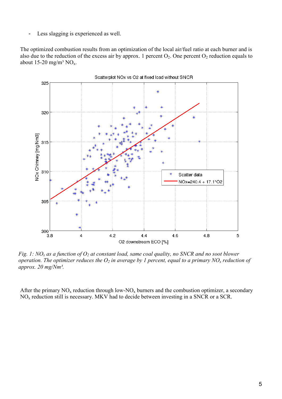Less slagging is experienced as well.

The optimized combustion results from an optimization of the local air/fuel ratio at each burner and is also due to the reduction of the excess air by approx. 1 percent  $O_2$ . One percent  $O_2$  reduction equals to about 15-20 mg/m<sup>3</sup> NO<sub>x</sub>.



*Fig. 1: NOx as a function of O2 at constant load, same coal quality, no SNCR and no soot blower operation. The optimizer reduces the O2 in average by 1 percent, equal to a primary NOx reduction of approx. 20 mg/Nm³.* 

After the primary  $NO<sub>x</sub>$  reduction through low- $NO<sub>x</sub>$  burners and the combustion optimizer, a secondary NOx reduction still is necessary. MKV had to decide between investing in a SNCR or a SCR.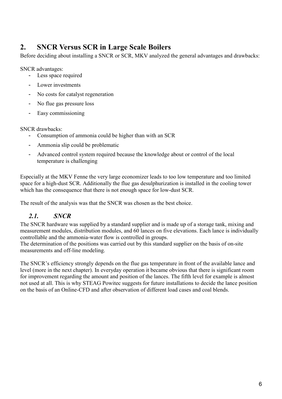# **2. SNCR Versus SCR in Large Scale Boilers**

Before deciding about installing a SNCR or SCR, MKV analyzed the general advantages and drawbacks:

SNCR advantages:

- Less space required
- Lower investments
- No costs for catalyst regeneration
- No flue gas pressure loss
- Easy commissioning

SNCR drawbacks:

- Consumption of ammonia could be higher than with an SCR
- Ammonia slip could be problematic
- Advanced control system required because the knowledge about or control of the local temperature is challenging

Especially at the MKV Fenne the very large economizer leads to too low temperature and too limited space for a high-dust SCR. Additionally the flue gas desulphurization is installed in the cooling tower which has the consequence that there is not enough space for low-dust SCR.

The result of the analysis was that the SNCR was chosen as the best choice.

#### *2.1. SNCR*

The SNCR hardware was supplied by a standard supplier and is made up of a storage tank, mixing and measurement modules, distribution modules, and 60 lances on five elevations. Each lance is individually controllable and the ammonia-water flow is controlled in groups.

The determination of the positions was carried out by this standard supplier on the basis of on-site measurements and off-line modeling.

The SNCR's efficiency strongly depends on the flue gas temperature in front of the available lance and level (more in the next chapter). In everyday operation it became obvious that there is significant room for improvement regarding the amount and position of the lances. The fifth level for example is almost not used at all. This is why STEAG Powitec suggests for future installations to decide the lance position on the basis of an Online-CFD and after observation of different load cases and coal blends.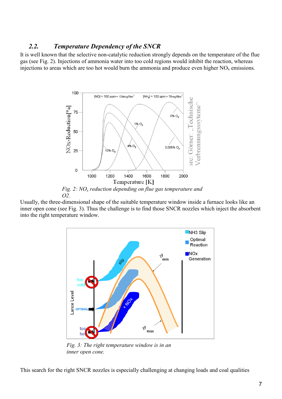#### *2.2. Temperature Dependency of the SNCR*

It is well known that the selective non-catalytic reduction strongly depends on the temperature of the flue gas (see Fig. 2). Injections of ammonia water into too cold regions would inhibit the reaction, whereas injections to areas which are too hot would burn the ammonia and produce even higher  $NO<sub>x</sub>$  emissions.



*Fig. 2: NOx reduction depending on flue gas temperature and O2.* 

Usually, the three-dimensional shape of the suitable temperature window inside a furnace looks like an inner open cone (see Fig. 3). Thus the challenge is to find those SNCR nozzles which inject the absorbent into the right temperature window.



*Fig. 3: The right temperature window is in an inner open cone.*

This search for the right SNCR nozzles is especially challenging at changing loads and coal qualities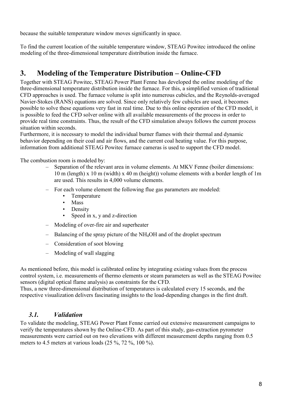because the suitable temperature window moves significantly in space.

To find the current location of the suitable temperature window, STEAG Powitec introduced the online modeling of the three-dimensional temperature distribution inside the furnace.

# **3. Modeling of the Temperature Distribution – Online-CFD**

Together with STEAG Powitec, STEAG Power Plant Fenne has developed the online modeling of the three-dimensional temperature distribution inside the furnace. For this, a simplified version of traditional CFD approaches is used. The furnace volume is split into numerous cubicles, and the Reynolds-averaged Navier-Stokes (RANS) equations are solved. Since only relatively few cubicles are used, it becomes possible to solve these equations very fast in real time. Due to this online operation of the CFD model, it is possible to feed the CFD solver online with all available measurements of the process in order to provide real time constraints. Thus, the result of the CFD simulation always follows the current process situation within seconds.

Furthermore, it is necessary to model the individual burner flames with their thermal and dynamic behavior depending on their coal and air flows, and the current coal heating value. For this purpose, information from additional STEAG Powitec furnace cameras is used to support the CFD model.

The combustion room is modeled by:

- Separation of the relevant area in volume elements. At MKV Fenne (boiler dimensions: 10 m (length) x 10 m (width) x 40 m (height)) volume elements with a border length of 1m are used. This results in 4,000 volume elements.
- For each volume element the following flue gas parameters are modeled:
	- Temperature
	- Mass
	- Density
	- Speed in x, y and z-direction
- Modeling of over-fire air and superheater
- Balancing of the spray picture of the NH<sub>4</sub>OH and of the droplet spectrum
- Consideration of soot blowing
- Modeling of wall slagging

As mentioned before, this model is calibrated online by integrating existing values from the process control system, i.e. measurements of thermo elements or steam parameters as well as the STEAG Powitec sensors (digital optical flame analysis) as constraints for the CFD.

Thus, a new three-dimensional distribution of temperatures is calculated every 15 seconds, and the respective visualization delivers fascinating insights to the load-depending changes in the first draft.

#### *3.1. Validation*

To validate the modeling, STEAG Power Plant Fenne carried out extensive measurement campaigns to verify the temperatures shown by the Online-CFD. As part of this study, gas-extraction pyrometer measurements were carried out on two elevations with different measurement depths ranging from 0.5 meters to 4.5 meters at various loads (25 %, 72 %, 100 %).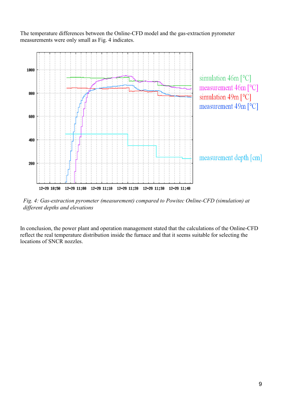The temperature differences between the Online-CFD model and the gas-extraction pyrometer measurements were only small as Fig. 4 indicates.



*Fig. 4: Gas-extraction pyrometer (measurement) compared to Powitec Online-CFD (simulation) at different depths and elevations*

In conclusion, the power plant and operation management stated that the calculations of the Online-CFD reflect the real temperature distribution inside the furnace and that it seems suitable for selecting the locations of SNCR nozzles.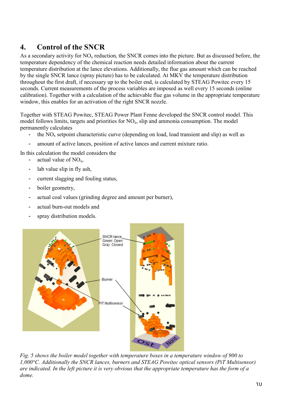# **4. Control of the SNCR**

As a secondary activity for  $NO<sub>x</sub>$  reduction, the SNCR comes into the picture. But as discussed before, the temperature dependency of the chemical reaction needs detailed information about the current temperature distribution at the lance elevations. Additionally, the flue gas amount which can be reached by the single SNCR lance (spray picture) has to be calculated. At MKV the temperature distribution throughout the first draft, if necessary up to the boiler end, is calculated by STEAG Powitec every 15 seconds. Current measurements of the process variables are imposed as well every 15 seconds (online calibration). Together with a calculation of the achievable flue gas volume in the appropriate temperature window, this enables for an activation of the right SNCR nozzle.

Together with STEAG Powitec, STEAG Power Plant Fenne developed the SNCR control model. This model follows limits, targets and priorities for  $NO<sub>x</sub>$ , slip and ammonia consumption. The model permanently calculates

- the  $NO<sub>x</sub>$  setpoint characteristic curve (depending on load, load transient and slip) as well as
- amount of active lances, position of active lances and current mixture ratio.

In this calculation the model considers the

- actual value of  $NO<sub>x</sub>$ ,
- lab value slip in fly ash,
- current slagging and fouling status,
- boiler geometry,
- actual coal values (grinding degree and amount per burner),
- actual burn-out models and
- spray distribution models.



*Fig . 5 shows the boiler model together with temperature boxes in a temperature window of 900 to 1,000°C. Additionally the SNCR lances, burners and STEAG Powitec optical sensors (PiT Multisensor) are indicated. In the left picture it is very obvious that the appropriate temperature has the form of a dome.*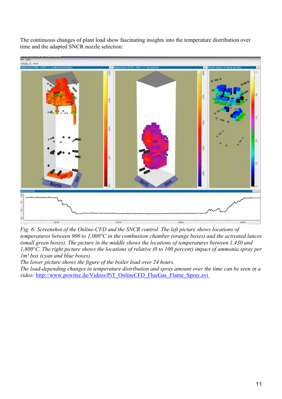The continuous changes of plant load show fascinating insights into the temperature distribution over time and the adapted SNCR nozzle selection:



*Fig. 6: Screenshot of the Online-CFD and the SNCR control. The left picture shows locations of temperatures between 900 to 1,000°C in the combustion chamber (orange boxes) and the activated lances (small green boxes). The picture in the middle shows the locations of temperatures between 1,430 and 1,800°C. The right picture shows the locations of relative (0 to 100 percent) impact of ammonia spray per 1m³ box (cyan and blue boxes)* 

*The lower picture shows the figure of the boiler load over 24 hours.* 

*The load-depending changes in temperature distribution and spray amount over the time can be seen in a video: http://www.powitec.de/Videos/PiT\_OnlineCFD\_FlueGas\_Flame\_Spray.avi*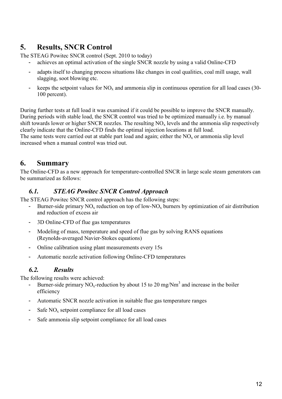# **5. Results, SNCR Control**

The STEAG Powitec SNCR control (Sept. 2010 to today)

- achieves an optimal activation of the single SNCR nozzle by using a valid Online-CFD
- adapts itself to changing process situations like changes in coal qualities, coal mill usage, wall slagging, soot blowing etc.
- keeps the setpoint values for  $NO<sub>x</sub>$  and ammonia slip in continuous operation for all load cases (30-100 percent).

During further tests at full load it was examined if it could be possible to improve the SNCR manually. During periods with stable load, the SNCR control was tried to be optimized manually i.e. by manual shift towards lower or higher SNCR nozzles. The resulting  $NO<sub>x</sub>$  levels and the ammonia slip respectively clearly indicate that the Online-CFD finds the optimal injection locations at full load. The same tests were carried out at stable part load and again; either the  $NO<sub>x</sub>$  or ammonia slip level increased when a manual control was tried out.

# **6. Summary**

The Online-CFD as a new approach for temperature-controlled SNCR in large scale steam generators can be summarized as follows:

#### *6.1. STEAG Powitec SNCR Control Approach*

The STEAG Powitec SNCR control approach has the following steps:

- Burner-side primary  $NO<sub>x</sub>$  reduction on top of low- $NO<sub>x</sub>$  burners by optimization of air distribution and reduction of excess air
- 3D Online-CFD of flue gas temperatures
- Modeling of mass, temperature and speed of flue gas by solving RANS equations (Reynolds-averaged Navier-Stokes equations)
- Online calibration using plant measurements every 15s
- Automatic nozzle activation following Online-CFD temperatures

#### *6.2. Results*

The following results were achieved:

- Burner-side primary NO<sub>x</sub>-reduction by about 15 to 20 mg/Nm<sup>3</sup> and increase in the boiler efficiency
- Automatic SNCR nozzle activation in suitable flue gas temperature ranges
- Safe  $NO<sub>x</sub>$  setpoint compliance for all load cases
- Safe ammonia slip setpoint compliance for all load cases